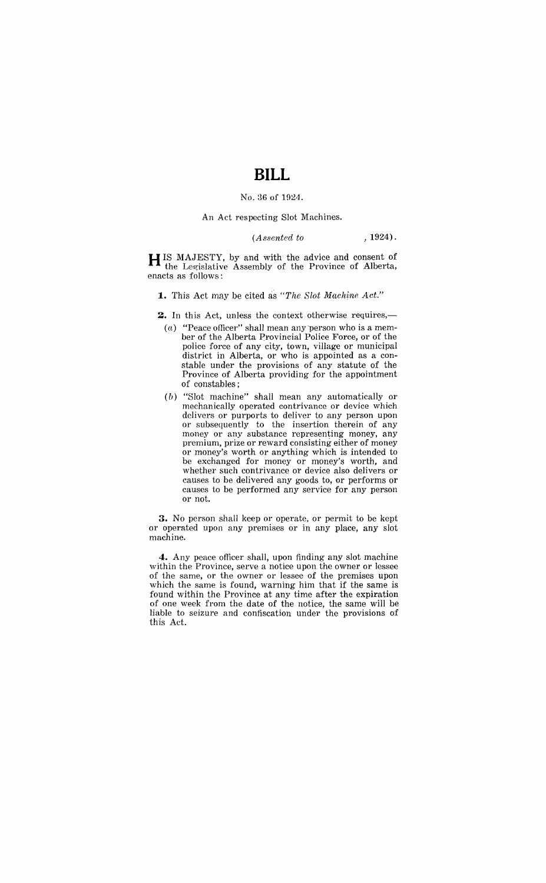## **BILL**

#### No. 36 of 1924.

#### An Act respecting Slot Machines.

### *(A 88cnted to* , 1924).

H IS MAJESTY, by and with the advice and consent of the Legislative Assembly of the Province of Alberta, enacts as follows:

**1.** This Act may be cited as *"The Slot Mackine Act."* 

**2.** In this Act, unless the context otherwise requires,-

- $(a)$  "Peace officer" shall mean any person who is a member of the Alberta provincial Police Force, or of the police force of any city, town, village or municipal district in Alberta, or who is appointed as a constable under the provisions of any statute of the Province of Alberta providing for the appointment of constables;
- $(b)$  "Slot machine" shall mean any automatically or mechanically operated contrivance or device which delivers or purports to deliver to any person upon or subsequently to the insertion therein of any money or any substance representing money, any premium, prize or reward consisting either of money or money's worth or anything which is intended to be exchanged for money or money's worth, and whether such contrivance or device also delivers or causes to be delivered any goods to, or performs or causes to be performed any service for any person or not.

**3.** No person shall keep or operate, or permit to be kept or operated upon any premises or in any place, any slot machine.

**4.** Any peace officer shall, upon finding any slot machine within the Province, serve a notice upon. the owner or lessee of the same, or the owner or lessee of the premises upon which the same is found, warning him that if the same is found within the Province at any time after the expiration of one week from the date of the notice, the same will be liable to seizure and confiscation under the provisions of this Act.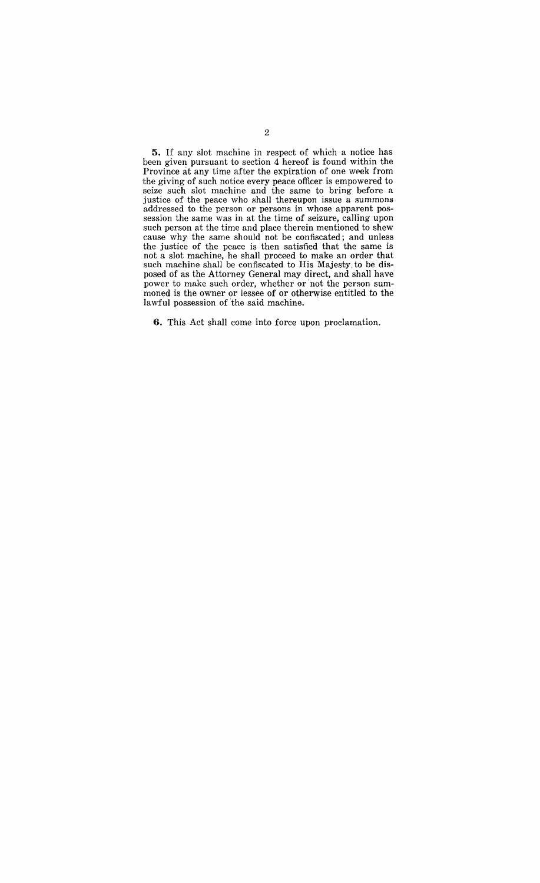**5.** If any slot machine in respect of which a notice has been given pursuant to section 4 hereof is found within the Province at any time after the expiration of one week from the giving of such notice every peace officer is empowered to seize such slot machine and the same to bring before a justice of the peace who shall thereupon issue a summons addressed to the person or persons in whose apparent possession the same was in at the time of seizure, calling upon such person at the time and place therein mentioned to shew cause why the same should not be confiscated; and unless the justice of the peace is then satisfied that the same is not a slot machine, he shall proceed to make an order that such machine shall be confiscated to His Majesty, to be disposed of as the Attorney General may direct, and shall have power to make such order, whether or' not the person summoned is the owner or lessee of or otherwise entitled to the lawful possession of the said machine.

**6.** This Act shall come into force upon proclamation.